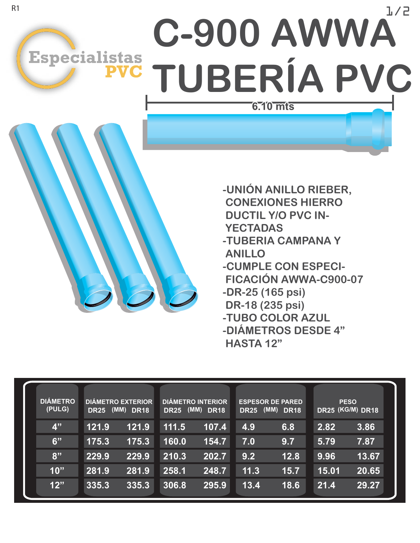## 1/2 **C-900 AWWA** Especialistas<br>
PVC TUBERÍA PVC  $6.10$  mts

**-UNIÓN ANILLO RIEBER, CONEXIONES HIERRO DUCTIL Y/O PVC IN- YECTADAS -TUBERIA CAMPANA Y ANILLO -CUMPLE CON ESPECI- FICACIÓN AWWA-C900-07 -DR-25 (165 psi) DR-18 (235 psi) -TUBO COLOR AZUL -DIÁMETROS DESDE 4" HASTA 12"**

| <b>DIÁMETRO</b><br>(PULG) | <b>DIÁMETRO EXTERIOR</b><br>(MM) DR18<br><b>DR25</b> |       | <b>DIÁMETRO INTERIOR</b><br>(MM) DR18<br><b>DR25</b> |       | <b>ESPESOR DE PARED</b><br>(MM) DR18<br><b>DR25</b> |      | <b>PESO</b><br>DR25 (KG/M) DR18 |       |
|---------------------------|------------------------------------------------------|-------|------------------------------------------------------|-------|-----------------------------------------------------|------|---------------------------------|-------|
| 4"                        | 121.9                                                | 121.9 | 111.5                                                | 107.4 | 4.9                                                 | 6.8  | 2.82                            | 3.86  |
| 6"                        | 175.3                                                | 175.3 | 160.0                                                | 154.7 | 7.0                                                 | 9.7  | 5.79                            | 7.87  |
| 8"                        | 229.9                                                | 229.9 | 210.3                                                | 202.7 | 9.2                                                 | 12.8 | 9.96                            | 13.67 |
| 10"                       | 281.9                                                | 281.9 | 258.1                                                | 248.7 | 11.3                                                | 15.7 | 15.01                           | 20.65 |
| 12"                       | 335.3                                                | 335.3 | 306.8                                                | 295.9 | 13.4                                                | 18.6 | 21.4                            | 29.27 |